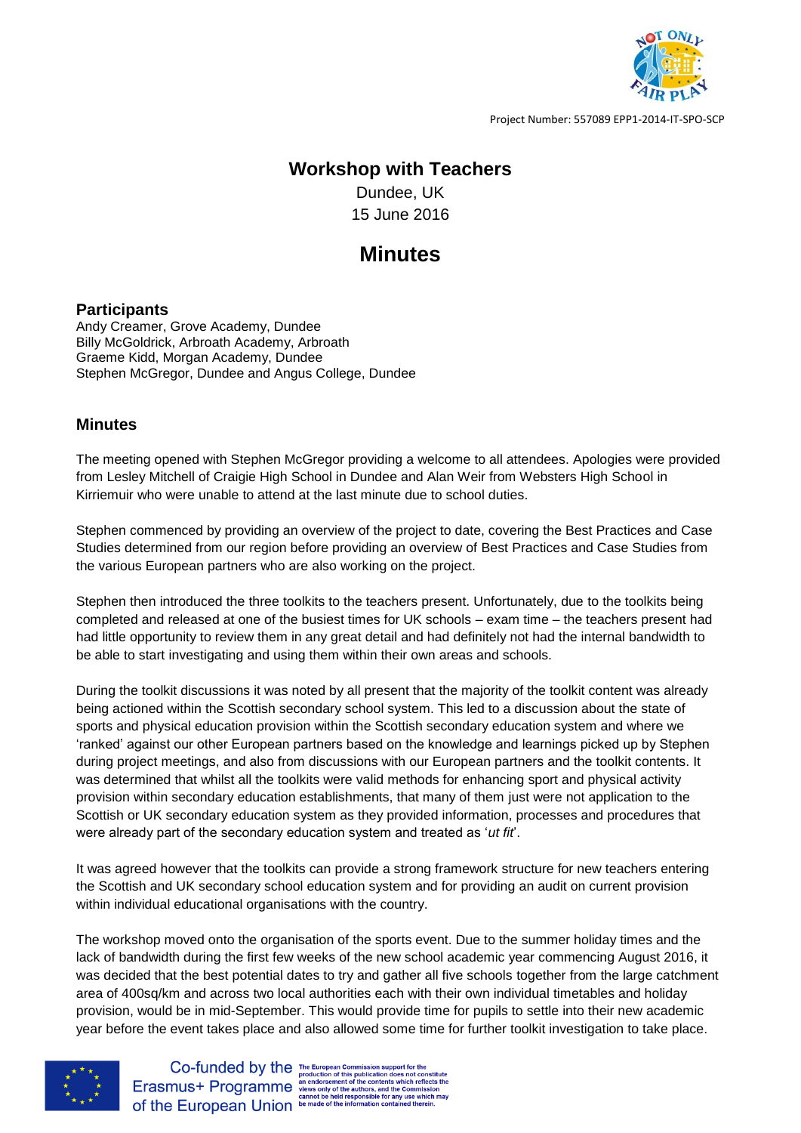

Project Number: 557089 EPP1-2014-IT-SPO-SCP

## **Workshop with Teachers**

Dundee, UK 15 June 2016

## **Minutes**

## **Participants**

Andy Creamer, Grove Academy, Dundee Billy McGoldrick, Arbroath Academy, Arbroath Graeme Kidd, Morgan Academy, Dundee Stephen McGregor, Dundee and Angus College, Dundee

## **Minutes**

The meeting opened with Stephen McGregor providing a welcome to all attendees. Apologies were provided from Lesley Mitchell of Craigie High School in Dundee and Alan Weir from Websters High School in Kirriemuir who were unable to attend at the last minute due to school duties.

Stephen commenced by providing an overview of the project to date, covering the Best Practices and Case Studies determined from our region before providing an overview of Best Practices and Case Studies from the various European partners who are also working on the project.

Stephen then introduced the three toolkits to the teachers present. Unfortunately, due to the toolkits being completed and released at one of the busiest times for UK schools – exam time – the teachers present had had little opportunity to review them in any great detail and had definitely not had the internal bandwidth to be able to start investigating and using them within their own areas and schools.

During the toolkit discussions it was noted by all present that the majority of the toolkit content was already being actioned within the Scottish secondary school system. This led to a discussion about the state of sports and physical education provision within the Scottish secondary education system and where we 'ranked' against our other European partners based on the knowledge and learnings picked up by Stephen during project meetings, and also from discussions with our European partners and the toolkit contents. It was determined that whilst all the toolkits were valid methods for enhancing sport and physical activity provision within secondary education establishments, that many of them just were not application to the Scottish or UK secondary education system as they provided information, processes and procedures that were already part of the secondary education system and treated as '*ut fit*'.

It was agreed however that the toolkits can provide a strong framework structure for new teachers entering the Scottish and UK secondary school education system and for providing an audit on current provision within individual educational organisations with the country.

The workshop moved onto the organisation of the sports event. Due to the summer holiday times and the lack of bandwidth during the first few weeks of the new school academic year commencing August 2016, it was decided that the best potential dates to try and gather all five schools together from the large catchment area of 400sq/km and across two local authorities each with their own individual timetables and holiday provision, would be in mid-September. This would provide time for pupils to settle into their new academic year before the event takes place and also allowed some time for further toolkit investigation to take place.